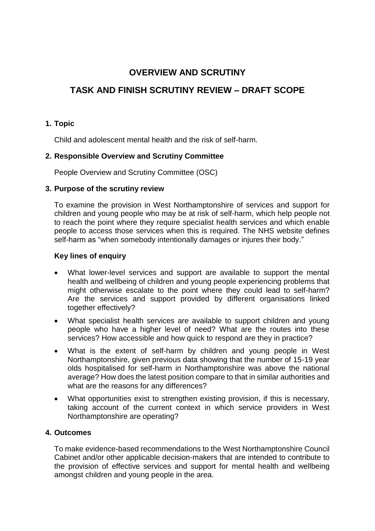# **OVERVIEW AND SCRUTINY**

# **TASK AND FINISH SCRUTINY REVIEW – DRAFT SCOPE**

### **1. Topic**

Child and adolescent mental health and the risk of self-harm.

### **2. Responsible Overview and Scrutiny Committee**

People Overview and Scrutiny Committee (OSC)

#### **3. Purpose of the scrutiny review**

To examine the provision in West Northamptonshire of services and support for children and young people who may be at risk of self-harm, which help people not to reach the point where they require specialist health services and which enable people to access those services when this is required. The NHS website defines self-harm as "when somebody intentionally damages or injures their body."

#### **Key lines of enquiry**

- What lower-level services and support are available to support the mental health and wellbeing of children and young people experiencing problems that might otherwise escalate to the point where they could lead to self-harm? Are the services and support provided by different organisations linked together effectively?
- What specialist health services are available to support children and young people who have a higher level of need? What are the routes into these services? How accessible and how quick to respond are they in practice?
- What is the extent of self-harm by children and young people in West Northamptonshire, given previous data showing that the number of 15-19 year olds hospitalised for self-harm in Northamptonshire was above the national average? How does the latest position compare to that in similar authorities and what are the reasons for any differences?
- What opportunities exist to strengthen existing provision, if this is necessary, taking account of the current context in which service providers in West Northamptonshire are operating?

#### **4. Outcomes**

To make evidence-based recommendations to the West Northamptonshire Council Cabinet and/or other applicable decision-makers that are intended to contribute to the provision of effective services and support for mental health and wellbeing amongst children and young people in the area.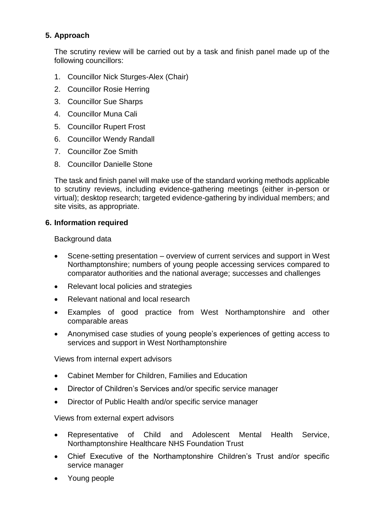## **5. Approach**

The scrutiny review will be carried out by a task and finish panel made up of the following councillors:

- 1. Councillor Nick Sturges-Alex (Chair)
- 2. Councillor Rosie Herring
- 3. Councillor Sue Sharps
- 4. Councillor Muna Cali
- 5. Councillor Rupert Frost
- 6. Councillor Wendy Randall
- 7. Councillor Zoe Smith
- 8. Councillor Danielle Stone

The task and finish panel will make use of the standard working methods applicable to scrutiny reviews, including evidence-gathering meetings (either in-person or virtual); desktop research; targeted evidence-gathering by individual members; and site visits, as appropriate.

#### **6. Information required**

Background data

- Scene-setting presentation overview of current services and support in West Northamptonshire; numbers of young people accessing services compared to comparator authorities and the national average; successes and challenges
- Relevant local policies and strategies
- Relevant national and local research
- Examples of good practice from West Northamptonshire and other comparable areas
- Anonymised case studies of young people's experiences of getting access to services and support in West Northamptonshire

Views from internal expert advisors

- Cabinet Member for Children, Families and Education
- Director of Children's Services and/or specific service manager
- Director of Public Health and/or specific service manager

Views from external expert advisors

- Representative of Child and Adolescent Mental Health Service, Northamptonshire Healthcare NHS Foundation Trust
- Chief Executive of the Northamptonshire Children's Trust and/or specific service manager
- Young people